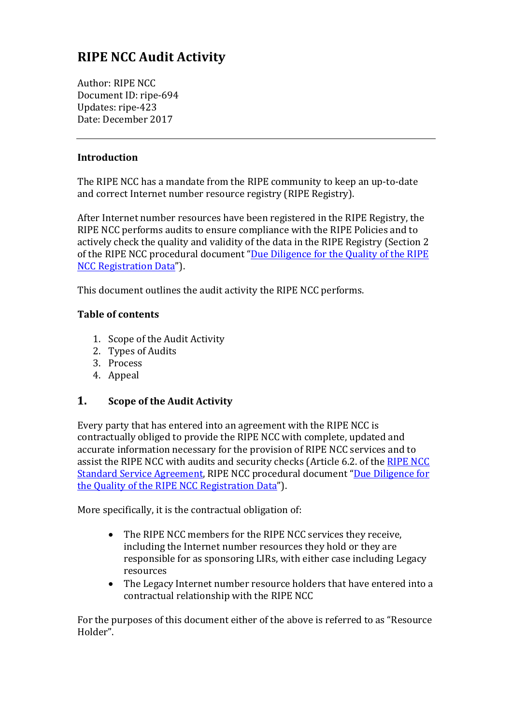# **RIPE NCC Audit Activity**

Author: RIPE NCC Document ID: ripe-694 Updates: ripe-423 Date: December 2017

#### **Introduction**

The RIPE NCC has a mandate from the RIPE community to keep an up-to-date and correct Internet number resource registry (RIPE Registry).

After Internet number resources have been registered in the RIPE Registry, the RIPE NCC performs audits to ensure compliance with the RIPE Policies and to actively check the quality and validity of the data in the RIPE Registry (Section 2 of the RIPE NCC procedural document "Due Diligence for the Quality of the RIPE NCC Registration Data").

This document outlines the audit activity the RIPE NCC performs.

#### **Table of contents**

- 1. Scope of the Audit Activity
- 2. Types of Audits
- 3. Process
- 4. Appeal

## **1.** Scope of the Audit Activity

Every party that has entered into an agreement with the RIPE NCC is contractually obliged to provide the RIPE NCC with complete, updated and accurate information necessary for the provision of RIPE NCC services and to assist the RIPE NCC with audits and security checks (Article 6.2. of the RIPE NCC Standard Service Agreement, RIPE NCC procedural document "Due Diligence for the Quality of the RIPE NCC Registration Data").

More specifically, it is the contractual obligation of:

- The RIPE NCC members for the RIPE NCC services they receive. including the Internet number resources they hold or they are responsible for as sponsoring LIRs, with either case including Legacy resources
- The Legacy Internet number resource holders that have entered into a contractual relationship with the RIPE NCC

For the purposes of this document either of the above is referred to as "Resource" Holder".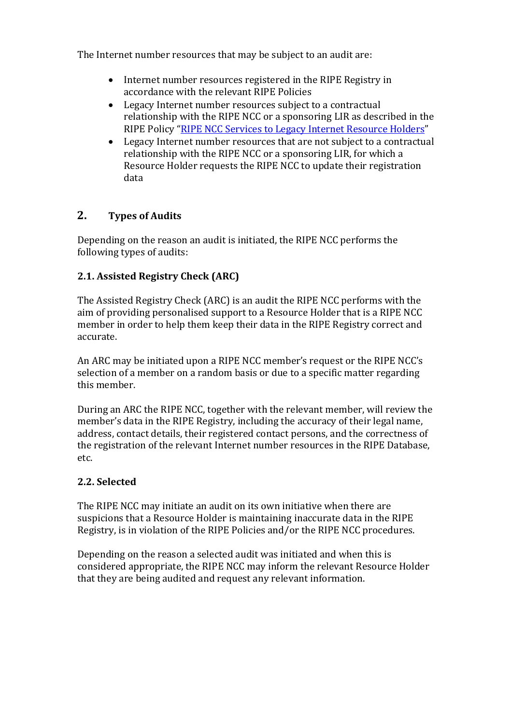The Internet number resources that may be subject to an audit are:

- Internet number resources registered in the RIPE Registry in accordance with the relevant RIPE Policies
- $\bullet$  Legacy Internet number resources subject to a contractual relationship with the RIPE NCC or a sponsoring LIR as described in the RIPE Policy "RIPE NCC Services to Legacy Internet Resource Holders"
- Legacy Internet number resources that are not subject to a contractual relationship with the RIPE NCC or a sponsoring LIR, for which a Resource Holder requests the RIPE NCC to update their registration data

# **2. Types of Audits**

Depending on the reason an audit is initiated, the RIPE NCC performs the following types of audits:

# **2.1. Assisted Registry Check (ARC)**

The Assisted Registry Check (ARC) is an audit the RIPE NCC performs with the aim of providing personalised support to a Resource Holder that is a RIPE NCC member in order to help them keep their data in the RIPE Registry correct and accurate.

An ARC may be initiated upon a RIPE NCC member's request or the RIPE NCC's selection of a member on a random basis or due to a specific matter regarding this member.

During an ARC the RIPE NCC, together with the relevant member, will review the member's data in the RIPE Registry, including the accuracy of their legal name, address, contact details, their registered contact persons, and the correctness of the registration of the relevant Internet number resources in the RIPE Database, etc.

# **2.2. Selected**

The RIPE NCC may initiate an audit on its own initiative when there are suspicions that a Resource Holder is maintaining inaccurate data in the RIPE Registry, is in violation of the RIPE Policies and/or the RIPE NCC procedures.

Depending on the reason a selected audit was initiated and when this is considered appropriate, the RIPE NCC may inform the relevant Resource Holder that they are being audited and request any relevant information.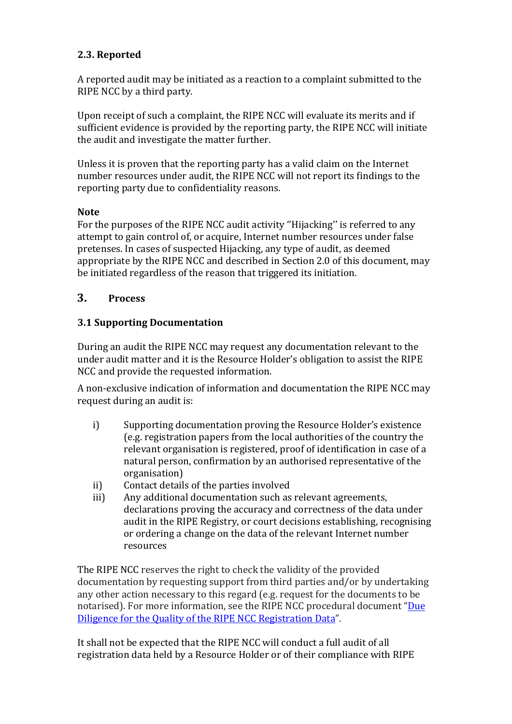## **2.3. Reported**

A reported audit may be initiated as a reaction to a complaint submitted to the RIPE NCC by a third party.

Upon receipt of such a complaint, the RIPE NCC will evaluate its merits and if sufficient evidence is provided by the reporting party, the RIPE NCC will initiate the audit and investigate the matter further.

Unless it is proven that the reporting party has a valid claim on the Internet number resources under audit, the RIPE NCC will not report its findings to the reporting party due to confidentiality reasons.

#### **Note**

For the purposes of the RIPE NCC audit activity "Hijacking" is referred to any attempt to gain control of, or acquire, Internet number resources under false pretenses. In cases of suspected Hijacking, any type of audit, as deemed appropriate by the RIPE NCC and described in Section 2.0 of this document, may be initiated regardless of the reason that triggered its initiation.

## **3. Process**

## **3.1 Supporting Documentation**

During an audit the RIPE NCC may request any documentation relevant to the under audit matter and it is the Resource Holder's obligation to assist the RIPE NCC and provide the requested information.

A non-exclusive indication of information and documentation the RIPE NCC may request during an audit is:

- i) Supporting documentation proving the Resource Holder's existence (e.g. registration papers from the local authorities of the country the relevant organisation is registered, proof of identification in case of a natural person, confirmation by an authorised representative of the organisation)
- ii) Contact details of the parties involved
- iii) Any additional documentation such as relevant agreements, declarations proving the accuracy and correctness of the data under audit in the RIPE Registry, or court decisions establishing, recognising or ordering a change on the data of the relevant Internet number resources

The RIPE NCC reserves the right to check the validity of the provided documentation by requesting support from third parties and/or by undertaking any other action necessary to this regard (e.g. request for the documents to be notarised). For more information, see the RIPE NCC procedural document "[Due](https://www.ripe.net/publications/docs/due-diligence) Diligence for the Quality of the RIPE NCC Registration Data".

It shall not be expected that the RIPE NCC will conduct a full audit of all registration data held by a Resource Holder or of their compliance with RIPE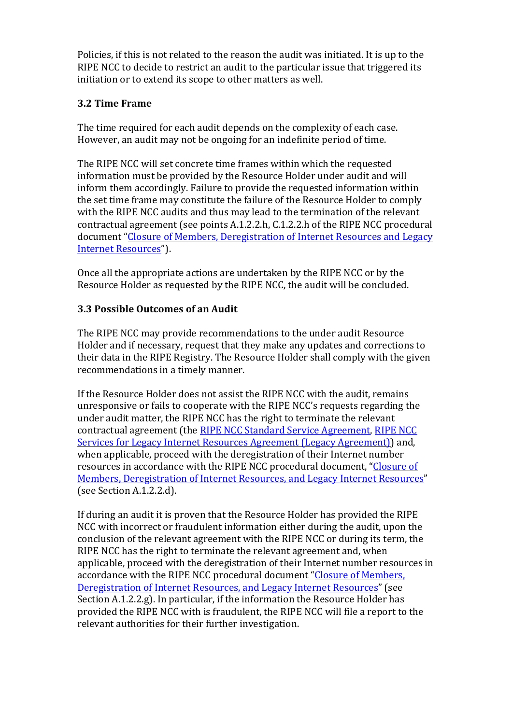Policies, if this is not related to the reason the audit was initiated. It is up to the RIPE NCC to decide to restrict an audit to the particular issue that triggered its initiation or to extend its scope to other matters as well.

## **3.2 Time Frame**

The time required for each audit depends on the complexity of each case. However, an audit may not be ongoing for an indefinite period of time.

The RIPE NCC will set concrete time frames within which the requested information must be provided by the Resource Holder under audit and will inform them accordingly. Failure to provide the requested information within the set time frame may constitute the failure of the Resource Holder to comply with the RIPE NCC audits and thus may lead to the termination of the relevant contractual agreement (see points  $A.1.2.2.h$ ,  $C.1.2.2.h$  of the RIPE NCC procedural document "Closure of Members, Deregistration of Internet Resources and Legacy Internet Resources").

Once all the appropriate actions are undertaken by the RIPE NCC or by the Resource Holder as requested by the RIPE NCC, the audit will be concluded.

#### **3.3 Possible Outcomes of an Audit**

The RIPE NCC may provide recommendations to the under audit Resource Holder and if necessary, request that they make any updates and corrections to their data in the RIPE Registry. The Resource Holder shall comply with the given recommendations in a timely manner.

If the Resource Holder does not assist the RIPE NCC with the audit, remains unresponsive or fails to cooperate with the RIPE NCC's requests regarding the under audit matter, the RIPE NCC has the right to terminate the relevant contractual agreement (the RIPE NCC Standard Service Agreement, RIPE NCC Services for Legacy Internet Resources Agreement (Legacy Agreement)) and, when applicable, proceed with the deregistration of their Internet number resources in accordance with the RIPE NCC procedural document, "Closure of Members, Deregistration of Internet Resources, and Legacy Internet Resources" (see Section A.1.2.2.d).

If during an audit it is proven that the Resource Holder has provided the RIPE NCC with incorrect or fraudulent information either during the audit, upon the conclusion of the relevant agreement with the RIPE NCC or during its term, the RIPE NCC has the right to terminate the relevant agreement and, when applicable, proceed with the deregistration of their Internet number resources in accordance with the RIPE NCC procedural document "Closure of Members, Deregistration of Internet Resources, and Legacy Internet Resources" (see Section  $A.1.2.2.g.$  In particular, if the information the Resource Holder has provided the RIPE NCC with is fraudulent, the RIPE NCC will file a report to the relevant authorities for their further investigation.